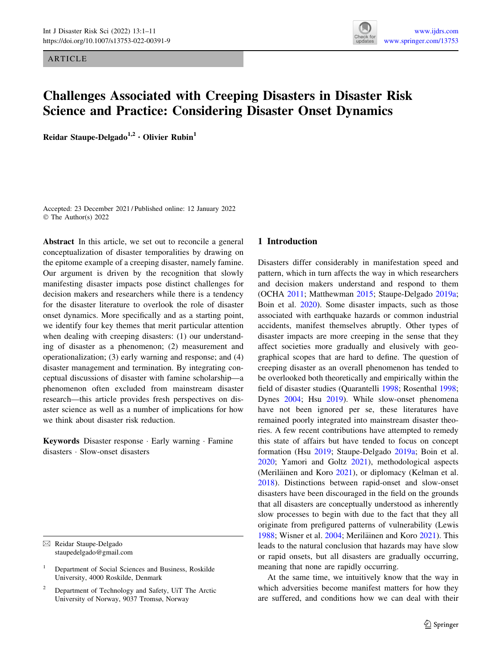ARTICLE



# Challenges Associated with Creeping Disasters in Disaster Risk Science and Practice: Considering Disaster Onset Dynamics

Reidar Staupe-Delgado<sup>1,2</sup> · Olivier Rubin<sup>1</sup>

Accepted: 23 December 2021 / Published online: 12 January 2022 © The Author(s) 2022

Abstract In this article, we set out to reconcile a general conceptualization of disaster temporalities by drawing on the epitome example of a creeping disaster, namely famine. Our argument is driven by the recognition that slowly manifesting disaster impacts pose distinct challenges for decision makers and researchers while there is a tendency for the disaster literature to overlook the role of disaster onset dynamics. More specifically and as a starting point, we identify four key themes that merit particular attention when dealing with creeping disasters: (1) our understanding of disaster as a phenomenon; (2) measurement and operationalization; (3) early warning and response; and (4) disaster management and termination. By integrating conceptual discussions of disaster with famine scholarship—a phenomenon often excluded from mainstream disaster research—this article provides fresh perspectives on disaster science as well as a number of implications for how we think about disaster risk reduction.

Keywords Disaster response - Early warning - Famine disasters - Slow-onset disasters

 $\boxtimes$  Reidar Staupe-Delgado staupedelgado@gmail.com

#### 1 Introduction

Disasters differ considerably in manifestation speed and pattern, which in turn affects the way in which researchers and decision makers understand and respond to them (OCHA [2011;](#page-9-0) Matthewman [2015](#page-9-0); Staupe-Delgado [2019a](#page-9-0); Boin et al. [2020](#page-8-0)). Some disaster impacts, such as those associated with earthquake hazards or common industrial accidents, manifest themselves abruptly. Other types of disaster impacts are more creeping in the sense that they affect societies more gradually and elusively with geographical scopes that are hard to define. The question of creeping disaster as an overall phenomenon has tended to be overlooked both theoretically and empirically within the field of disaster studies (Quarantelli [1998](#page-9-0); Rosenthal [1998](#page-9-0); Dynes [2004](#page-8-0); Hsu [2019](#page-9-0)). While slow-onset phenomena have not been ignored per se, these literatures have remained poorly integrated into mainstream disaster theories. A few recent contributions have attempted to remedy this state of affairs but have tended to focus on concept formation (Hsu [2019](#page-9-0); Staupe-Delgado [2019a;](#page-9-0) Boin et al. [2020](#page-8-0); Yamori and Goltz [2021\)](#page-10-0), methodological aspects (Meriläinen and Koro  $2021$ ), or diplomacy (Kelman et al. [2018](#page-9-0)). Distinctions between rapid-onset and slow-onset disasters have been discouraged in the field on the grounds that all disasters are conceptually understood as inherently slow processes to begin with due to the fact that they all originate from prefigured patterns of vulnerability (Lewis [1988](#page-9-0); Wisner et al. [2004;](#page-10-0) Meriläinen and Koro [2021\)](#page-9-0). This leads to the natural conclusion that hazards may have slow or rapid onsets, but all disasters are gradually occurring, meaning that none are rapidly occurring.

At the same time, we intuitively know that the way in which adversities become manifest matters for how they are suffered, and conditions how we can deal with their

<sup>1</sup> Department of Social Sciences and Business, Roskilde University, 4000 Roskilde, Denmark

<sup>2</sup> Department of Technology and Safety, UiT The Arctic University of Norway, 9037 Tromsø, Norway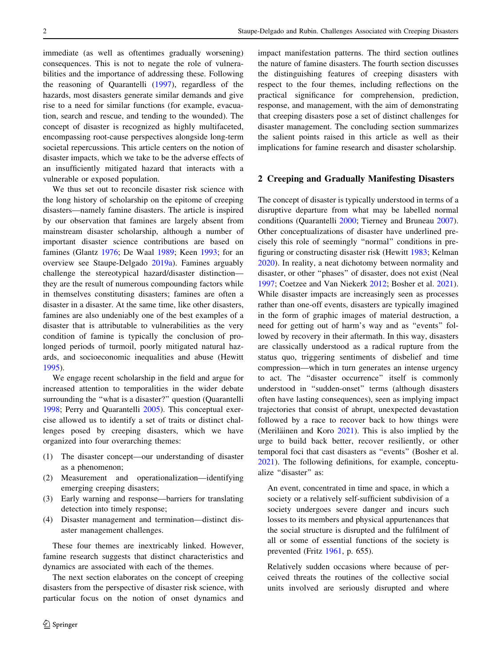immediate (as well as oftentimes gradually worsening) consequences. This is not to negate the role of vulnerabilities and the importance of addressing these. Following the reasoning of Quarantelli ([1997\)](#page-9-0), regardless of the hazards, most disasters generate similar demands and give rise to a need for similar functions (for example, evacuation, search and rescue, and tending to the wounded). The concept of disaster is recognized as highly multifaceted, encompassing root-cause perspectives alongside long-term societal repercussions. This article centers on the notion of disaster impacts, which we take to be the adverse effects of an insufficiently mitigated hazard that interacts with a vulnerable or exposed population.

We thus set out to reconcile disaster risk science with the long history of scholarship on the epitome of creeping disasters—namely famine disasters. The article is inspired by our observation that famines are largely absent from mainstream disaster scholarship, although a number of important disaster science contributions are based on famines (Glantz [1976](#page-8-0); De Waal [1989;](#page-8-0) Keen [1993;](#page-9-0) for an overview see Staupe-Delgado [2019a\)](#page-9-0). Famines arguably challenge the stereotypical hazard/disaster distinction they are the result of numerous compounding factors while in themselves constituting disasters; famines are often a disaster in a disaster. At the same time, like other disasters, famines are also undeniably one of the best examples of a disaster that is attributable to vulnerabilities as the very condition of famine is typically the conclusion of prolonged periods of turmoil, poorly mitigated natural hazards, and socioeconomic inequalities and abuse (Hewitt [1995\)](#page-9-0).

We engage recent scholarship in the field and argue for increased attention to temporalities in the wider debate surrounding the "what is a disaster?" question (Quarantelli [1998;](#page-9-0) Perry and Quarantelli [2005](#page-9-0)). This conceptual exercise allowed us to identify a set of traits or distinct challenges posed by creeping disasters, which we have organized into four overarching themes:

- (1) The disaster concept—our understanding of disaster as a phenomenon;
- (2) Measurement and operationalization—identifying emerging creeping disasters;
- (3) Early warning and response—barriers for translating detection into timely response;
- (4) Disaster management and termination—distinct disaster management challenges.

These four themes are inextricably linked. However, famine research suggests that distinct characteristics and dynamics are associated with each of the themes.

The next section elaborates on the concept of creeping disasters from the perspective of disaster risk science, with particular focus on the notion of onset dynamics and impact manifestation patterns. The third section outlines the nature of famine disasters. The fourth section discusses the distinguishing features of creeping disasters with respect to the four themes, including reflections on the practical significance for comprehension, prediction, response, and management, with the aim of demonstrating that creeping disasters pose a set of distinct challenges for disaster management. The concluding section summarizes the salient points raised in this article as well as their implications for famine research and disaster scholarship.

#### 2 Creeping and Gradually Manifesting Disasters

The concept of disaster is typically understood in terms of a disruptive departure from what may be labelled normal conditions (Quarantelli [2000;](#page-9-0) Tierney and Bruneau [2007](#page-10-0)). Other conceptualizations of disaster have underlined precisely this role of seemingly ''normal'' conditions in prefiguring or constructing disaster risk (Hewitt [1983](#page-9-0); Kelman [2020](#page-9-0)). In reality, a neat dichotomy between normality and disaster, or other ''phases'' of disaster, does not exist (Neal [1997](#page-9-0); Coetzee and Van Niekerk [2012;](#page-8-0) Bosher et al. [2021](#page-8-0)). While disaster impacts are increasingly seen as processes rather than one-off events, disasters are typically imagined in the form of graphic images of material destruction, a need for getting out of harm's way and as ''events'' followed by recovery in their aftermath. In this way, disasters are classically understood as a radical rupture from the status quo, triggering sentiments of disbelief and time compression—which in turn generates an intense urgency to act. The ''disaster occurrence'' itself is commonly understood in ''sudden-onset'' terms (although disasters often have lasting consequences), seen as implying impact trajectories that consist of abrupt, unexpected devastation followed by a race to recover back to how things were (Meriläinen and Koro  $2021$ ). This is also implied by the urge to build back better, recover resiliently, or other temporal foci that cast disasters as ''events'' (Bosher et al. [2021](#page-8-0)). The following definitions, for example, conceptualize "disaster" as:

An event, concentrated in time and space, in which a society or a relatively self-sufficient subdivision of a society undergoes severe danger and incurs such losses to its members and physical appurtenances that the social structure is disrupted and the fulfilment of all or some of essential functions of the society is prevented (Fritz [1961,](#page-8-0) p. 655).

Relatively sudden occasions where because of perceived threats the routines of the collective social units involved are seriously disrupted and where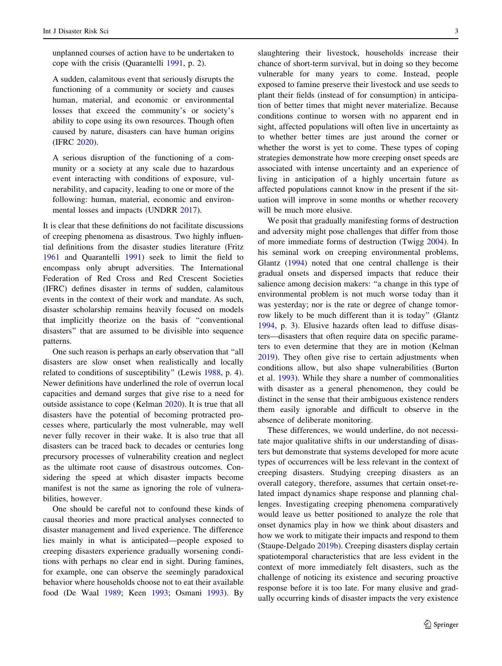unplanned courses of action have to be undertaken to cope with the crisis (Quarantelli [1991](#page-9-0), p. 2).

A sudden, calamitous event that seriously disrupts the functioning of a community or society and causes human, material, and economic or environmental losses that exceed the community's or society's ability to cope using its own resources. Though often caused by nature, disasters can have human origins (IFRC [2020](#page-9-0)).

A serious disruption of the functioning of a community or a society at any scale due to hazardous event interacting with conditions of exposure, vulnerability, and capacity, leading to one or more of the following: human, material, economic and environmental losses and impacts (UNDRR [2017\)](#page-10-0).

It is clear that these definitions do not facilitate discussions of creeping phenomena as disastrous. Two highly influential definitions from the disaster studies literature (Fritz [1961](#page-8-0) and Quarantelli [1991](#page-9-0)) seek to limit the field to encompass only abrupt adversities. The International Federation of Red Cross and Red Crescent Societies (IFRC) defines disaster in terms of sudden, calamitous events in the context of their work and mandate. As such, disaster scholarship remains heavily focused on models that implicitly theorize on the basis of ''conventional disasters'' that are assumed to be divisible into sequence patterns.

One such reason is perhaps an early observation that ''all disasters are slow onset when realistically and locally related to conditions of susceptibility'' (Lewis [1988,](#page-9-0) p. 4). Newer definitions have underlined the role of overrun local capacities and demand surges that give rise to a need for outside assistance to cope (Kelman [2020\)](#page-9-0). It is true that all disasters have the potential of becoming protracted processes where, particularly the most vulnerable, may well never fully recover in their wake. It is also true that all disasters can be traced back to decades or centuries long precursory processes of vulnerability creation and neglect as the ultimate root cause of disastrous outcomes. Considering the speed at which disaster impacts become manifest is not the same as ignoring the role of vulnerabilities, however.

One should be careful not to confound these kinds of causal theories and more practical analyses connected to disaster management and lived experience. The difference lies mainly in what is anticipated—people exposed to creeping disasters experience gradually worsening conditions with perhaps no clear end in sight. During famines, for example, one can observe the seemingly paradoxical behavior where households choose not to eat their available food (De Waal [1989;](#page-8-0) Keen [1993;](#page-9-0) Osmani [1993\)](#page-9-0). By

slaughtering their livestock, households increase their chance of short-term survival, but in doing so they become vulnerable for many years to come. Instead, people exposed to famine preserve their livestock and use seeds to plant their fields (instead of for consumption) in anticipation of better times that might never materialize. Because conditions continue to worsen with no apparent end in sight, affected populations will often live in uncertainty as to whether better times are just around the corner or whether the worst is yet to come. These types of coping strategies demonstrate how more creeping onset speeds are associated with intense uncertainty and an experience of living in anticipation of a highly uncertain future as affected populations cannot know in the present if the situation will improve in some months or whether recovery will be much more elusive.

We posit that gradually manifesting forms of destruction and adversity might pose challenges that differ from those of more immediate forms of destruction (Twigg [2004\)](#page-10-0). In his seminal work on creeping environmental problems, Glantz [\(1994](#page-9-0)) noted that one central challenge is their gradual onsets and dispersed impacts that reduce their salience among decision makers: ''a change in this type of environmental problem is not much worse today than it was yesterday; nor is the rate or degree of change tomorrow likely to be much different than it is today'' (Glantz [1994](#page-9-0), p. 3). Elusive hazards often lead to diffuse disasters—disasters that often require data on specific parameters to even determine that they are in motion (Kelman [2019](#page-9-0)). They often give rise to certain adjustments when conditions allow, but also shape vulnerabilities (Burton et al. [1993\)](#page-8-0). While they share a number of commonalities with disaster as a general phenomenon, they could be distinct in the sense that their ambiguous existence renders them easily ignorable and difficult to observe in the absence of deliberate monitoring.

These differences, we would underline, do not necessitate major qualitative shifts in our understanding of disasters but demonstrate that systems developed for more acute types of occurrences will be less relevant in the context of creeping disasters. Studying creeping disasters as an overall category, therefore, assumes that certain onset-related impact dynamics shape response and planning challenges. Investigating creeping phenomena comparatively would leave us better positioned to analyze the role that onset dynamics play in how we think about disasters and how we work to mitigate their impacts and respond to them (Staupe-Delgado [2019b](#page-9-0)). Creeping disasters display certain spatiotemporal characteristics that are less evident in the context of more immediately felt disasters, such as the challenge of noticing its existence and securing proactive response before it is too late. For many elusive and gradually occurring kinds of disaster impacts the very existence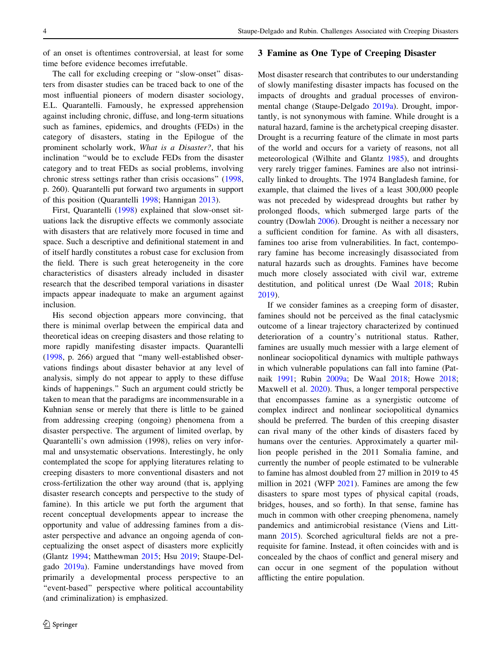of an onset is oftentimes controversial, at least for some time before evidence becomes irrefutable.

The call for excluding creeping or "slow-onset" disasters from disaster studies can be traced back to one of the most influential pioneers of modern disaster sociology, E.L. Quarantelli. Famously, he expressed apprehension against including chronic, diffuse, and long-term situations such as famines, epidemics, and droughts (FEDs) in the category of disasters, stating in the Epilogue of the prominent scholarly work, What is a Disaster?, that his inclination ''would be to exclude FEDs from the disaster category and to treat FEDs as social problems, involving chronic stress settings rather than crisis occasions'' ([1998,](#page-9-0) p. 260). Quarantelli put forward two arguments in support of this position (Quarantelli [1998;](#page-9-0) Hannigan [2013](#page-9-0)).

First, Quarantelli ([1998\)](#page-9-0) explained that slow-onset situations lack the disruptive effects we commonly associate with disasters that are relatively more focused in time and space. Such a descriptive and definitional statement in and of itself hardly constitutes a robust case for exclusion from the field. There is such great heterogeneity in the core characteristics of disasters already included in disaster research that the described temporal variations in disaster impacts appear inadequate to make an argument against inclusion.

His second objection appears more convincing, that there is minimal overlap between the empirical data and theoretical ideas on creeping disasters and those relating to more rapidly manifesting disaster impacts. Quarantelli [\(1998](#page-9-0), p. 266) argued that ''many well-established observations findings about disaster behavior at any level of analysis, simply do not appear to apply to these diffuse kinds of happenings.'' Such an argument could strictly be taken to mean that the paradigms are incommensurable in a Kuhnian sense or merely that there is little to be gained from addressing creeping (ongoing) phenomena from a disaster perspective. The argument of limited overlap, by Quarantelli's own admission (1998), relies on very informal and unsystematic observations. Interestingly, he only contemplated the scope for applying literatures relating to creeping disasters to more conventional disasters and not cross-fertilization the other way around (that is, applying disaster research concepts and perspective to the study of famine). In this article we put forth the argument that recent conceptual developments appear to increase the opportunity and value of addressing famines from a disaster perspective and advance an ongoing agenda of conceptualizing the onset aspect of disasters more explicitly (Glantz [1994;](#page-9-0) Matthewman [2015;](#page-9-0) Hsu [2019](#page-9-0); Staupe-Delgado [2019a](#page-9-0)). Famine understandings have moved from primarily a developmental process perspective to an "event-based" perspective where political accountability (and criminalization) is emphasized.

#### 3 Famine as One Type of Creeping Disaster

Most disaster research that contributes to our understanding of slowly manifesting disaster impacts has focused on the impacts of droughts and gradual processes of environmental change (Staupe-Delgado [2019a\)](#page-9-0). Drought, importantly, is not synonymous with famine. While drought is a natural hazard, famine is the archetypical creeping disaster. Drought is a recurring feature of the climate in most parts of the world and occurs for a variety of reasons, not all meteorological (Wilhite and Glantz [1985\)](#page-10-0), and droughts very rarely trigger famines. Famines are also not intrinsically linked to droughts. The 1974 Bangladesh famine, for example, that claimed the lives of a least 300,000 people was not preceded by widespread droughts but rather by prolonged floods, which submerged large parts of the country (Dowlah [2006](#page-8-0)). Drought is neither a necessary nor a sufficient condition for famine. As with all disasters, famines too arise from vulnerabilities. In fact, contemporary famine has become increasingly disassociated from natural hazards such as droughts. Famines have become much more closely associated with civil war, extreme destitution, and political unrest (De Waal [2018;](#page-8-0) Rubin [2019](#page-9-0)).

If we consider famines as a creeping form of disaster, famines should not be perceived as the final cataclysmic outcome of a linear trajectory characterized by continued deterioration of a country's nutritional status. Rather, famines are usually much messier with a large element of nonlinear sociopolitical dynamics with multiple pathways in which vulnerable populations can fall into famine (Patnaik [1991;](#page-9-0) Rubin [2009a;](#page-9-0) De Waal [2018;](#page-8-0) Howe [2018](#page-9-0); Maxwell et al. [2020](#page-9-0)). Thus, a longer temporal perspective that encompasses famine as a synergistic outcome of complex indirect and nonlinear sociopolitical dynamics should be preferred. The burden of this creeping disaster can rival many of the other kinds of disasters faced by humans over the centuries. Approximately a quarter million people perished in the 2011 Somalia famine, and currently the number of people estimated to be vulnerable to famine has almost doubled from 27 million in 2019 to 45 million in 2021 (WFP [2021](#page-10-0)). Famines are among the few disasters to spare most types of physical capital (roads, bridges, houses, and so forth). In that sense, famine has much in common with other creeping phenomena, namely pandemics and antimicrobial resistance (Viens and Littmann [2015](#page-10-0)). Scorched agricultural fields are not a prerequisite for famine. Instead, it often coincides with and is concealed by the chaos of conflict and general misery and can occur in one segment of the population without afflicting the entire population.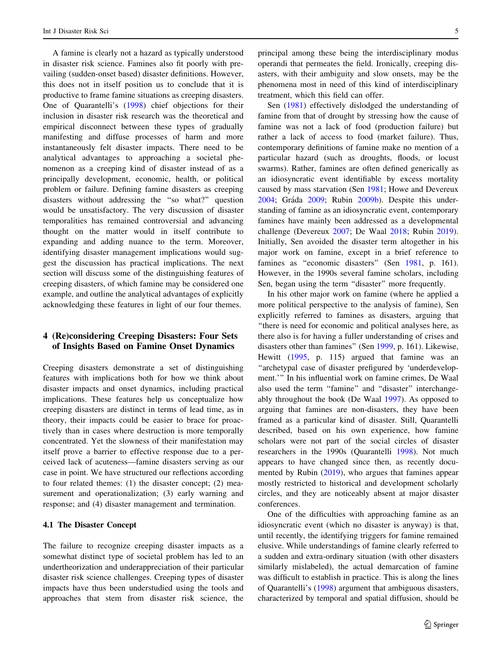A famine is clearly not a hazard as typically understood in disaster risk science. Famines also fit poorly with prevailing (sudden-onset based) disaster definitions. However, this does not in itself position us to conclude that it is productive to frame famine situations as creeping disasters. One of Quarantelli's ([1998\)](#page-9-0) chief objections for their inclusion in disaster risk research was the theoretical and empirical disconnect between these types of gradually manifesting and diffuse processes of harm and more instantaneously felt disaster impacts. There need to be analytical advantages to approaching a societal phenomenon as a creeping kind of disaster instead of as a principally development, economic, health, or political problem or failure. Defining famine disasters as creeping disasters without addressing the ''so what?'' question would be unsatisfactory. The very discussion of disaster temporalities has remained controversial and advancing thought on the matter would in itself contribute to expanding and adding nuance to the term. Moreover, identifying disaster management implications would suggest the discussion has practical implications. The next section will discuss some of the distinguishing features of creeping disasters, of which famine may be considered one example, and outline the analytical advantages of explicitly acknowledging these features in light of our four themes.

# 4 (Re)considering Creeping Disasters: Four Sets of Insights Based on Famine Onset Dynamics

Creeping disasters demonstrate a set of distinguishing features with implications both for how we think about disaster impacts and onset dynamics, including practical implications. These features help us conceptualize how creeping disasters are distinct in terms of lead time, as in theory, their impacts could be easier to brace for proactively than in cases where destruction is more temporally concentrated. Yet the slowness of their manifestation may itself prove a barrier to effective response due to a perceived lack of acuteness—famine disasters serving as our case in point. We have structured our reflections according to four related themes: (1) the disaster concept; (2) measurement and operationalization; (3) early warning and response; and (4) disaster management and termination.

# 4.1 The Disaster Concept

The failure to recognize creeping disaster impacts as a somewhat distinct type of societal problem has led to an undertheorization and underappreciation of their particular disaster risk science challenges. Creeping types of disaster impacts have thus been understudied using the tools and approaches that stem from disaster risk science, the

principal among these being the interdisciplinary modus operandi that permeates the field. Ironically, creeping disasters, with their ambiguity and slow onsets, may be the phenomena most in need of this kind of interdisciplinary treatment, which this field can offer.

Sen [\(1981](#page-9-0)) effectively dislodged the understanding of famine from that of drought by stressing how the cause of famine was not a lack of food (production failure) but rather a lack of access to food (market failure). Thus, contemporary definitions of famine make no mention of a particular hazard (such as droughts, floods, or locust swarms). Rather, famines are often defined generically as an idiosyncratic event identifiable by excess mortality caused by mass starvation (Sen [1981;](#page-9-0) Howe and Devereux [2004](#page-9-0); Gráda [2009](#page-9-0); Rubin [2009b](#page-9-0)). Despite this understanding of famine as an idiosyncratic event, contemporary famines have mainly been addressed as a developmental challenge (Devereux [2007](#page-8-0); De Waal [2018;](#page-8-0) Rubin [2019](#page-9-0)). Initially, Sen avoided the disaster term altogether in his major work on famine, except in a brief reference to famines as "economic disasters" (Sen [1981,](#page-9-0) p. 161). However, in the 1990s several famine scholars, including Sen, began using the term ''disaster'' more frequently.

In his other major work on famine (where he applied a more political perspective to the analysis of famine), Sen explicitly referred to famines as disasters, arguing that ''there is need for economic and political analyses here, as there also is for having a fuller understanding of crises and disasters other than famines'' (Sen [1999,](#page-9-0) p. 161). Likewise, Hewitt ([1995,](#page-9-0) p. 115) argued that famine was an "archetypal case of disaster prefigured by 'underdevelopment.''' In his influential work on famine crimes, De Waal also used the term "famine" and "disaster" interchangeably throughout the book (De Waal [1997](#page-8-0)). As opposed to arguing that famines are non-disasters, they have been framed as a particular kind of disaster. Still, Quarantelli described, based on his own experience, how famine scholars were not part of the social circles of disaster researchers in the 1990s (Quarantelli [1998](#page-9-0)). Not much appears to have changed since then, as recently documented by Rubin [\(2019\)](#page-9-0), who argues that famines appear mostly restricted to historical and development scholarly circles, and they are noticeably absent at major disaster conferences.

One of the difficulties with approaching famine as an idiosyncratic event (which no disaster is anyway) is that, until recently, the identifying triggers for famine remained elusive. While understandings of famine clearly referred to a sudden and extra-ordinary situation (with other disasters similarly mislabeled), the actual demarcation of famine was difficult to establish in practice. This is along the lines of Quarantelli's ([1998\)](#page-9-0) argument that ambiguous disasters, characterized by temporal and spatial diffusion, should be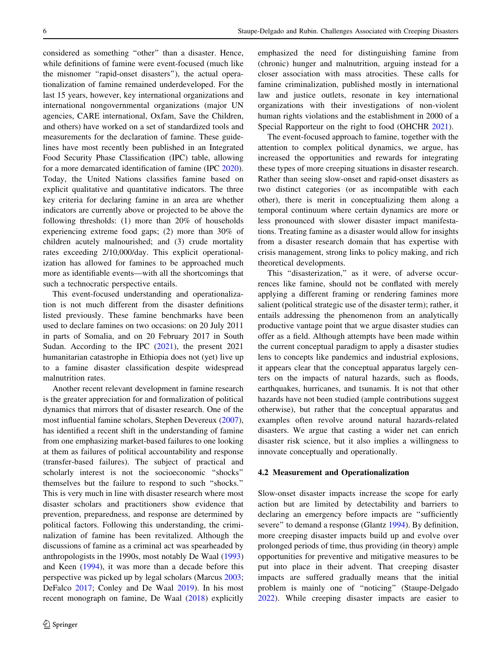considered as something ''other'' than a disaster. Hence, while definitions of famine were event-focused (much like the misnomer ''rapid-onset disasters''), the actual operationalization of famine remained underdeveloped. For the last 15 years, however, key international organizations and international nongovernmental organizations (major UN agencies, CARE international, Oxfam, Save the Children, and others) have worked on a set of standardized tools and measurements for the declaration of famine. These guidelines have most recently been published in an Integrated Food Security Phase Classification (IPC) table, allowing for a more demarcated identification of famine (IPC [2020](#page-9-0)). Today, the United Nations classifies famine based on explicit qualitative and quantitative indicators. The three key criteria for declaring famine in an area are whether indicators are currently above or projected to be above the following thresholds: (1) more than 20% of households experiencing extreme food gaps; (2) more than 30% of children acutely malnourished; and (3) crude mortality rates exceeding 2/10,000/day. This explicit operationalization has allowed for famines to be approached much more as identifiable events—with all the shortcomings that such a technocratic perspective entails.

This event-focused understanding and operationalization is not much different from the disaster definitions listed previously. These famine benchmarks have been used to declare famines on two occasions: on 20 July 2011 in parts of Somalia, and on 20 February 2017 in South Sudan. According to the IPC [\(2021](#page-9-0)), the present 2021 humanitarian catastrophe in Ethiopia does not (yet) live up to a famine disaster classification despite widespread malnutrition rates.

Another recent relevant development in famine research is the greater appreciation for and formalization of political dynamics that mirrors that of disaster research. One of the most influential famine scholars, Stephen Devereux [\(2007](#page-8-0)), has identified a recent shift in the understanding of famine from one emphasizing market-based failures to one looking at them as failures of political accountability and response (transfer-based failures). The subject of practical and scholarly interest is not the socioeconomic ''shocks'' themselves but the failure to respond to such ''shocks.'' This is very much in line with disaster research where most disaster scholars and practitioners show evidence that prevention, preparedness, and response are determined by political factors. Following this understanding, the criminalization of famine has been revitalized. Although the discussions of famine as a criminal act was spearheaded by anthropologists in the 1990s, most notably De Waal ([1993\)](#page-8-0) and Keen [\(1994](#page-9-0)), it was more than a decade before this perspective was picked up by legal scholars (Marcus [2003](#page-9-0); DeFalco [2017](#page-8-0); Conley and De Waal [2019\)](#page-8-0). In his most recent monograph on famine, De Waal ([2018\)](#page-8-0) explicitly emphasized the need for distinguishing famine from (chronic) hunger and malnutrition, arguing instead for a closer association with mass atrocities. These calls for famine criminalization, published mostly in international law and justice outlets, resonate in key international organizations with their investigations of non-violent human rights violations and the establishment in 2000 of a Special Rapporteur on the right to food (OHCHR [2021\)](#page-9-0).

The event-focused approach to famine, together with the attention to complex political dynamics, we argue, has increased the opportunities and rewards for integrating these types of more creeping situations in disaster research. Rather than seeing slow-onset and rapid-onset disasters as two distinct categories (or as incompatible with each other), there is merit in conceptualizing them along a temporal continuum where certain dynamics are more or less pronounced with slower disaster impact manifestations. Treating famine as a disaster would allow for insights from a disaster research domain that has expertise with crisis management, strong links to policy making, and rich theoretical developments.

This "disasterization," as it were, of adverse occurrences like famine, should not be conflated with merely applying a different framing or rendering famines more salient (political strategic use of the disaster term); rather, it entails addressing the phenomenon from an analytically productive vantage point that we argue disaster studies can offer as a field. Although attempts have been made within the current conceptual paradigm to apply a disaster studies lens to concepts like pandemics and industrial explosions, it appears clear that the conceptual apparatus largely centers on the impacts of natural hazards, such as floods, earthquakes, hurricanes, and tsunamis. It is not that other hazards have not been studied (ample contributions suggest otherwise), but rather that the conceptual apparatus and examples often revolve around natural hazards-related disasters. We argue that casting a wider net can enrich disaster risk science, but it also implies a willingness to innovate conceptually and operationally.

#### 4.2 Measurement and Operationalization

Slow-onset disaster impacts increase the scope for early action but are limited by detectability and barriers to declaring an emergency before impacts are ''sufficiently severe" to demand a response (Glantz [1994\)](#page-9-0). By definition, more creeping disaster impacts build up and evolve over prolonged periods of time, thus providing (in theory) ample opportunities for preventive and mitigative measures to be put into place in their advent. That creeping disaster impacts are suffered gradually means that the initial problem is mainly one of ''noticing'' (Staupe-Delgado [2022](#page-10-0)). While creeping disaster impacts are easier to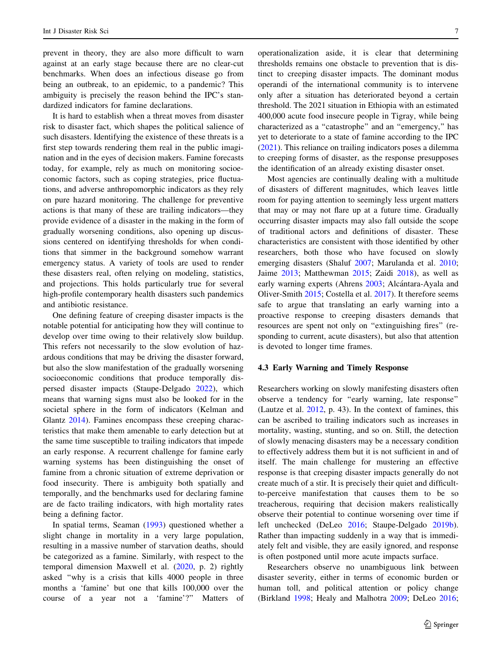prevent in theory, they are also more difficult to warn against at an early stage because there are no clear-cut benchmarks. When does an infectious disease go from being an outbreak, to an epidemic, to a pandemic? This ambiguity is precisely the reason behind the IPC's standardized indicators for famine declarations.

It is hard to establish when a threat moves from disaster risk to disaster fact, which shapes the political salience of such disasters. Identifying the existence of these threats is a first step towards rendering them real in the public imagination and in the eyes of decision makers. Famine forecasts today, for example, rely as much on monitoring socioeconomic factors, such as coping strategies, price fluctuations, and adverse anthropomorphic indicators as they rely on pure hazard monitoring. The challenge for preventive actions is that many of these are trailing indicators—they provide evidence of a disaster in the making in the form of gradually worsening conditions, also opening up discussions centered on identifying thresholds for when conditions that simmer in the background somehow warrant emergency status. A variety of tools are used to render these disasters real, often relying on modeling, statistics, and projections. This holds particularly true for several high-profile contemporary health disasters such pandemics and antibiotic resistance.

One defining feature of creeping disaster impacts is the notable potential for anticipating how they will continue to develop over time owing to their relatively slow buildup. This refers not necessarily to the slow evolution of hazardous conditions that may be driving the disaster forward, but also the slow manifestation of the gradually worsening socioeconomic conditions that produce temporally dispersed disaster impacts (Staupe-Delgado [2022](#page-10-0)), which means that warning signs must also be looked for in the societal sphere in the form of indicators (Kelman and Glantz [2014\)](#page-9-0). Famines encompass these creeping characteristics that make them amenable to early detection but at the same time susceptible to trailing indicators that impede an early response. A recurrent challenge for famine early warning systems has been distinguishing the onset of famine from a chronic situation of extreme deprivation or food insecurity. There is ambiguity both spatially and temporally, and the benchmarks used for declaring famine are de facto trailing indicators, with high mortality rates being a defining factor.

In spatial terms, Seaman [\(1993](#page-9-0)) questioned whether a slight change in mortality in a very large population, resulting in a massive number of starvation deaths, should be categorized as a famine. Similarly, with respect to the temporal dimension Maxwell et al. [\(2020](#page-9-0), p. 2) rightly asked ''why is a crisis that kills 4000 people in three months a 'famine' but one that kills 100,000 over the course of a year not a 'famine'?'' Matters of operationalization aside, it is clear that determining thresholds remains one obstacle to prevention that is distinct to creeping disaster impacts. The dominant modus operandi of the international community is to intervene only after a situation has deteriorated beyond a certain threshold. The 2021 situation in Ethiopia with an estimated 400,000 acute food insecure people in Tigray, while being characterized as a ''catastrophe'' and an ''emergency,'' has yet to deteriorate to a state of famine according to the IPC [\(2021](#page-9-0)). This reliance on trailing indicators poses a dilemma to creeping forms of disaster, as the response presupposes the identification of an already existing disaster onset.

Most agencies are continually dealing with a multitude of disasters of different magnitudes, which leaves little room for paying attention to seemingly less urgent matters that may or may not flare up at a future time. Gradually occurring disaster impacts may also fall outside the scope of traditional actors and definitions of disaster. These characteristics are consistent with those identified by other researchers, both those who have focused on slowly emerging disasters (Shaluf [2007;](#page-9-0) Marulanda et al. [2010](#page-9-0); Jaime [2013;](#page-9-0) Matthewman [2015](#page-9-0); Zaidi [2018](#page-10-0)), as well as early warning experts (Ahrens [2003;](#page-8-0) Alcántara-Ayala and Oliver-Smith [2015](#page-8-0); Costella et al. [2017](#page-8-0)). It therefore seems safe to argue that translating an early warning into a proactive response to creeping disasters demands that resources are spent not only on ''extinguishing fires'' (responding to current, acute disasters), but also that attention is devoted to longer time frames.

#### 4.3 Early Warning and Timely Response

Researchers working on slowly manifesting disasters often observe a tendency for ''early warning, late response'' (Lautze et al. [2012](#page-9-0), p. 43). In the context of famines, this can be ascribed to trailing indicators such as increases in mortality, wasting, stunting, and so on. Still, the detection of slowly menacing disasters may be a necessary condition to effectively address them but it is not sufficient in and of itself. The main challenge for mustering an effective response is that creeping disaster impacts generally do not create much of a stir. It is precisely their quiet and difficultto-perceive manifestation that causes them to be so treacherous, requiring that decision makers realistically observe their potential to continue worsening over time if left unchecked (DeLeo [2016;](#page-8-0) Staupe-Delgado [2019b](#page-9-0)). Rather than impacting suddenly in a way that is immediately felt and visible, they are easily ignored, and response is often postponed until more acute impacts surface.

Researchers observe no unambiguous link between disaster severity, either in terms of economic burden or human toll, and political attention or policy change (Birkland [1998;](#page-8-0) Healy and Malhotra [2009](#page-9-0); DeLeo [2016](#page-8-0);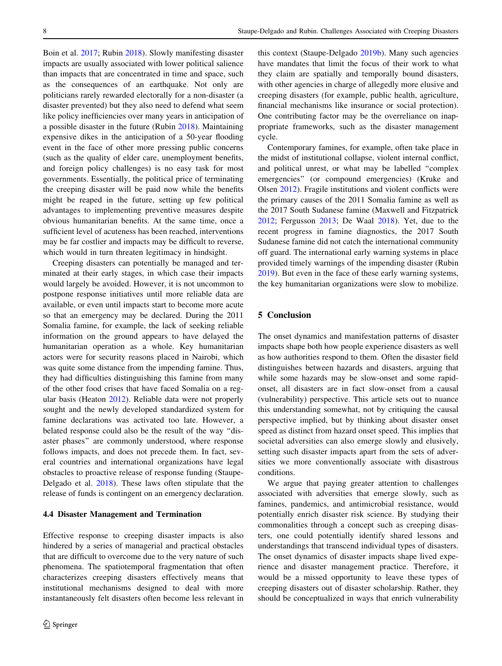Boin et al. [2017;](#page-8-0) Rubin [2018\)](#page-9-0). Slowly manifesting disaster impacts are usually associated with lower political salience than impacts that are concentrated in time and space, such as the consequences of an earthquake. Not only are politicians rarely rewarded electorally for a non-disaster (a disaster prevented) but they also need to defend what seem like policy inefficiencies over many years in anticipation of a possible disaster in the future (Rubin [2018](#page-9-0)). Maintaining expensive dikes in the anticipation of a 50-year flooding event in the face of other more pressing public concerns (such as the quality of elder care, unemployment benefits, and foreign policy challenges) is no easy task for most governments. Essentially, the political price of terminating the creeping disaster will be paid now while the benefits might be reaped in the future, setting up few political advantages to implementing preventive measures despite obvious humanitarian benefits. At the same time, once a sufficient level of acuteness has been reached, interventions may be far costlier and impacts may be difficult to reverse, which would in turn threaten legitimacy in hindsight.

Creeping disasters can potentially be managed and terminated at their early stages, in which case their impacts would largely be avoided. However, it is not uncommon to postpone response initiatives until more reliable data are available, or even until impacts start to become more acute so that an emergency may be declared. During the 2011 Somalia famine, for example, the lack of seeking reliable information on the ground appears to have delayed the humanitarian operation as a whole. Key humanitarian actors were for security reasons placed in Nairobi, which was quite some distance from the impending famine. Thus, they had difficulties distinguishing this famine from many of the other food crises that have faced Somalia on a regular basis (Heaton [2012](#page-9-0)). Reliable data were not properly sought and the newly developed standardized system for famine declarations was activated too late. However, a belated response could also be the result of the way ''disaster phases'' are commonly understood, where response follows impacts, and does not precede them. In fact, several countries and international organizations have legal obstacles to proactive release of response funding (Staupe-Delgado et al. [2018](#page-10-0)). These laws often stipulate that the release of funds is contingent on an emergency declaration.

### 4.4 Disaster Management and Termination

Effective response to creeping disaster impacts is also hindered by a series of managerial and practical obstacles that are difficult to overcome due to the very nature of such phenomena. The spatiotemporal fragmentation that often characterizes creeping disasters effectively means that institutional mechanisms designed to deal with more instantaneously felt disasters often become less relevant in

this context (Staupe-Delgado [2019b\)](#page-9-0). Many such agencies have mandates that limit the focus of their work to what they claim are spatially and temporally bound disasters, with other agencies in charge of allegedly more elusive and creeping disasters (for example, public health, agriculture, financial mechanisms like insurance or social protection). One contributing factor may be the overreliance on inappropriate frameworks, such as the disaster management cycle.

Contemporary famines, for example, often take place in the midst of institutional collapse, violent internal conflict, and political unrest, or what may be labelled ''complex emergencies'' (or compound emergencies) (Kruke and Olsen [2012](#page-9-0)). Fragile institutions and violent conflicts were the primary causes of the 2011 Somalia famine as well as the 2017 South Sudanese famine (Maxwell and Fitzpatrick [2012](#page-9-0); Fergusson [2013](#page-8-0); De Waal [2018\)](#page-8-0). Yet, due to the recent progress in famine diagnostics, the 2017 South Sudanese famine did not catch the international community off guard. The international early warning systems in place provided timely warnings of the impending disaster (Rubin [2019](#page-9-0)). But even in the face of these early warning systems, the key humanitarian organizations were slow to mobilize.

#### 5 Conclusion

The onset dynamics and manifestation patterns of disaster impacts shape both how people experience disasters as well as how authorities respond to them. Often the disaster field distinguishes between hazards and disasters, arguing that while some hazards may be slow-onset and some rapidonset, all disasters are in fact slow-onset from a causal (vulnerability) perspective. This article sets out to nuance this understanding somewhat, not by critiquing the causal perspective implied, but by thinking about disaster onset speed as distinct from hazard onset speed. This implies that societal adversities can also emerge slowly and elusively, setting such disaster impacts apart from the sets of adversities we more conventionally associate with disastrous conditions.

We argue that paying greater attention to challenges associated with adversities that emerge slowly, such as famines, pandemics, and antimicrobial resistance, would potentially enrich disaster risk science. By studying their commonalities through a concept such as creeping disasters, one could potentially identify shared lessons and understandings that transcend individual types of disasters. The onset dynamics of disaster impacts shape lived experience and disaster management practice. Therefore, it would be a missed opportunity to leave these types of creeping disasters out of disaster scholarship. Rather, they should be conceptualized in ways that enrich vulnerability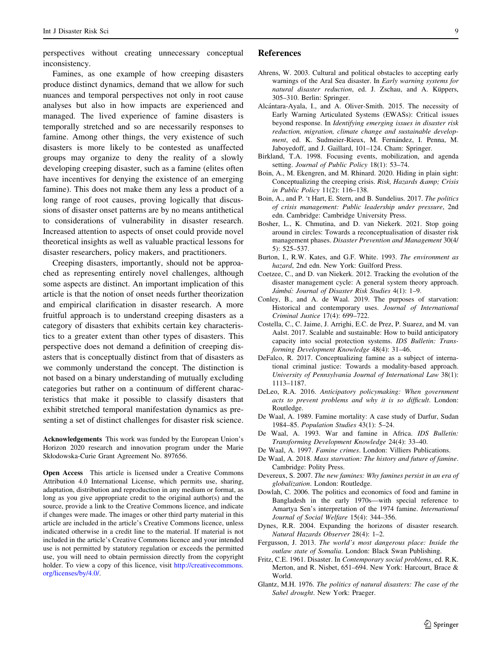<span id="page-8-0"></span>perspectives without creating unnecessary conceptual inconsistency.

Famines, as one example of how creeping disasters produce distinct dynamics, demand that we allow for such nuances and temporal perspectives not only in root cause analyses but also in how impacts are experienced and managed. The lived experience of famine disasters is temporally stretched and so are necessarily responses to famine. Among other things, the very existence of such disasters is more likely to be contested as unaffected groups may organize to deny the reality of a slowly developing creeping disaster, such as a famine (elites often have incentives for denying the existence of an emerging famine). This does not make them any less a product of a long range of root causes, proving logically that discussions of disaster onset patterns are by no means antithetical to considerations of vulnerability in disaster research. Increased attention to aspects of onset could provide novel theoretical insights as well as valuable practical lessons for disaster researchers, policy makers, and practitioners.

Creeping disasters, importantly, should not be approached as representing entirely novel challenges, although some aspects are distinct. An important implication of this article is that the notion of onset needs further theorization and empirical clarification in disaster research. A more fruitful approach is to understand creeping disasters as a category of disasters that exhibits certain key characteristics to a greater extent than other types of disasters. This perspective does not demand a definition of creeping disasters that is conceptually distinct from that of disasters as we commonly understand the concept. The distinction is not based on a binary understanding of mutually excluding categories but rather on a continuum of different characteristics that make it possible to classify disasters that exhibit stretched temporal manifestation dynamics as presenting a set of distinct challenges for disaster risk science.

Acknowledgements This work was funded by the European Union's Horizon 2020 research and innovation program under the Marie Skłodowska-Curie Grant Agreement No. 897656.

Open Access This article is licensed under a Creative Commons Attribution 4.0 International License, which permits use, sharing, adaptation, distribution and reproduction in any medium or format, as long as you give appropriate credit to the original author(s) and the source, provide a link to the Creative Commons licence, and indicate if changes were made. The images or other third party material in this article are included in the article's Creative Commons licence, unless indicated otherwise in a credit line to the material. If material is not included in the article's Creative Commons licence and your intended use is not permitted by statutory regulation or exceeds the permitted use, you will need to obtain permission directly from the copyright holder. To view a copy of this licence, visit [http://creativecommons.](http://creativecommons.org/licenses/by/4.0/) [org/licenses/by/4.0/.](http://creativecommons.org/licenses/by/4.0/)

## References

- Ahrens, W. 2003. Cultural and political obstacles to accepting early warnings of the Aral Sea disaster. In Early warning systems for natural disaster reduction, ed. J. Zschau, and A. Küppers, 305–310. Berlin: Springer.
- Alcántara-Ayala, I., and A. Oliver-Smith. 2015. The necessity of Early Warning Articulated Systems (EWASs): Critical issues beyond response. In Identifying emerging issues in disaster risk reduction, migration, climate change and sustainable development, ed. K. Sudmeier-Rieux, M. Fernández, I. Penna, M. Jaboyedoff, and J. Gaillard, 101–124. Cham: Springer.
- Birkland, T.A. 1998. Focusing events, mobilization, and agenda setting. Journal of Public Policy 18(1): 53-74.
- Boin, A., M. Ekengren, and M. Rhinard. 2020. Hiding in plain sight: Conceptualizing the creeping crisis. Risk, Hazards & amp; Crisis in Public Policy 11(2): 116–138.
- Boin, A., and P. 't Hart, E. Stern, and B. Sundelius. 2017. The politics of crisis management: Public leadership under pressure, 2nd edn. Cambridge: Cambridge University Press.
- Bosher, L., K. Chmutina, and D. van Niekerk. 2021. Stop going around in circles: Towards a reconceptualisation of disaster risk management phases. Disaster Prevention and Management 30(4/ 5): 525–537.
- Burton, I., R.W. Kates, and G.F. White. 1993. The environment as hazard, 2nd edn. New York: Guilford Press.
- Coetzee, C., and D. van Niekerk. 2012. Tracking the evolution of the disaster management cycle: A general system theory approach. Jàmbá: Journal of Disaster Risk Studies 4(1): 1-9.
- Conley, B., and A. de Waal. 2019. The purposes of starvation: Historical and contemporary uses. Journal of International Criminal Justice 17(4): 699–722.
- Costella, C., C. Jaime, J. Arrighi, E.C. de Prez, P. Suarez, and M. van Aalst. 2017. Scalable and sustainable: How to build anticipatory capacity into social protection systems. IDS Bulletin: Transforming Development Knowledge 48(4): 31–46.
- DeFalco, R. 2017. Conceptualizing famine as a subject of international criminal justice: Towards a modality-based approach. University of Pennsylvania Journal of International Law 38(1): 1113–1187.
- DeLeo, R.A. 2016. Anticipatory policymaking: When government acts to prevent problems and why it is so difficult. London: Routledge.
- De Waal, A. 1989. Famine mortality: A case study of Darfur, Sudan 1984–85. Population Studies 43(1): 5–24.
- De Waal, A. 1993. War and famine in Africa. IDS Bulletin: Transforming Development Knowledge 24(4): 33–40.
- De Waal, A. 1997. Famine crimes. London: Villiers Publications.
- De Waal, A. 2018. Mass starvation: The history and future of famine. Cambridge: Polity Press.
- Devereux, S. 2007. The new famines: Why famines persist in an era of globalization. London: Routledge.
- Dowlah, C. 2006. The politics and economics of food and famine in Bangladesh in the early 1970s—with special reference to Amartya Sen's interpretation of the 1974 famine. International Journal of Social Welfare 15(4): 344–356.
- Dynes, R.R. 2004. Expanding the horizons of disaster research. Natural Hazards Observer 28(4): 1–2.
- Fergusson, J. 2013. The world's most dangerous place: Inside the outlaw state of Somalia. London: Black Swan Publishing.
- Fritz, C.E. 1961. Disaster. In Contemporary social problems, ed. R.K. Merton, and R. Nisbet, 651–694. New York: Harcourt, Brace & World.
- Glantz, M.H. 1976. The politics of natural disasters: The case of the Sahel drought. New York: Praeger.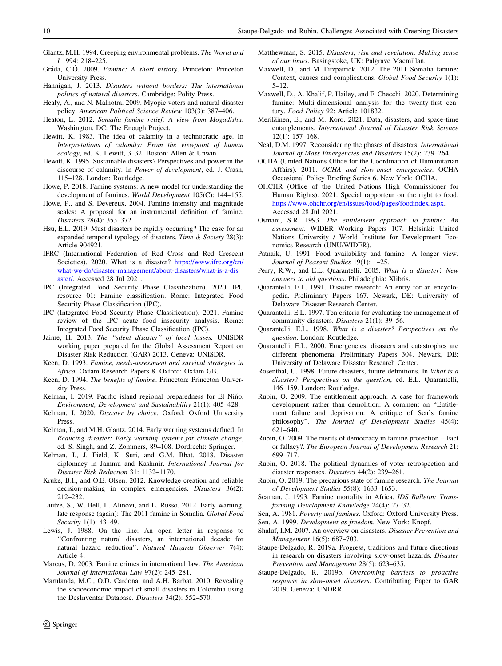- <span id="page-9-0"></span>Glantz, M.H. 1994. Creeping environmental problems. The World and I 1994: 218–225.
- Gráda, C.Ó. 2009. Famine: A short history. Princeton: Princeton University Press.
- Hannigan, J. 2013. Disasters without borders: The international politics of natural disasters. Cambridge: Polity Press.
- Healy, A., and N. Malhotra. 2009. Myopic voters and natural disaster policy. American Political Science Review 103(3): 387–406.
- Heaton, L. 2012. Somalia famine relief: A view from Mogadishu. Washington, DC: The Enough Project.
- Hewitt, K. 1983. The idea of calamity in a technocratic age. In Interpretations of calamity: From the viewpoint of human ecology, ed. K. Hewitt, 3–32. Boston: Allen & Unwin.
- Hewitt, K. 1995. Sustainable disasters? Perspectives and power in the discourse of calamity. In Power of development, ed. J. Crash, 115–128. London: Routledge.
- Howe, P. 2018. Famine systems: A new model for understanding the development of famines. World Development 105(C): 144–155.
- Howe, P., and S. Devereux. 2004. Famine intensity and magnitude scales: A proposal for an instrumental definition of famine. Disasters 28(4): 353–372.
- Hsu, E.L. 2019. Must disasters be rapidly occurring? The case for an expanded temporal typology of disasters. Time & Society 28(3): Article 904921.
- IFRC (International Federation of Red Cross and Red Crescent Societies). 2020. What is a disaster? [https://www.ifrc.org/en/](https://www.ifrc.org/en/what-we-do/disaster-management/about-disasters/what-is-a-disaster/) [what-we-do/disaster-management/about-disasters/what-is-a-dis](https://www.ifrc.org/en/what-we-do/disaster-management/about-disasters/what-is-a-disaster/) [aster/](https://www.ifrc.org/en/what-we-do/disaster-management/about-disasters/what-is-a-disaster/). Accessed 28 Jul 2021.
- IPC (Integrated Food Security Phase Classification). 2020. IPC resource 01: Famine classification. Rome: Integrated Food Security Phase Classification (IPC).
- IPC (Integrated Food Security Phase Classification). 2021. Famine review of the IPC acute food insecurity analysis. Rome: Integrated Food Security Phase Classification (IPC).
- Jaime, H. 2013. The ''silent disaster'' of local losses. UNISDR working paper prepared for the Global Assessment Report on Disaster Risk Reduction (GAR) 2013. Geneva: UNISDR.
- Keen, D. 1993. Famine, needs-assessment and survival strategies in Africa. Oxfam Research Papers 8. Oxford: Oxfam GB.
- Keen, D. 1994. The benefits of famine. Princeton: Princeton University Press.
- Kelman, I. 2019. Pacific island regional preparedness for El Niño. Environment, Development and Sustainability 21(1): 405–428.
- Kelman, I. 2020. Disaster by choice. Oxford: Oxford University Press.
- Kelman, I., and M.H. Glantz. 2014. Early warning systems defined. In Reducing disaster: Early warning systems for climate change, ed. S. Singh, and Z. Zommers, 89–108. Dordrecht: Springer.
- Kelman, I., J. Field, K. Suri, and G.M. Bhat. 2018. Disaster diplomacy in Jammu and Kashmir. International Journal for Disaster Risk Reduction 31: 1132–1170.
- Kruke, B.I., and O.E. Olsen. 2012. Knowledge creation and reliable decision-making in complex emergencies. Disasters 36(2): 212–232.
- Lautze, S., W. Bell, L. Alinovi, and L. Russo. 2012. Early warning, late response (again): The 2011 famine in Somalia. Global Food Security 1(1): 43–49.
- Lewis, J. 1988. On the line: An open letter in response to ''Confronting natural disasters, an international decade for natural hazard reduction''. Natural Hazards Observer 7(4): Article 4.
- Marcus, D. 2003. Famine crimes in international law. The American Journal of International Law 97(2): 245–281.
- Marulanda, M.C., O.D. Cardona, and A.H. Barbat. 2010. Revealing the socioeconomic impact of small disasters in Colombia using the DesInventar Database. Disasters 34(2): 552–570.
- Matthewman, S. 2015. Disasters, risk and revelation: Making sense of our times. Basingstoke, UK: Palgrave Macmillan.
- Maxwell, D., and M. Fitzpatrick. 2012. The 2011 Somalia famine: Context, causes and complications. Global Food Security 1(1): 5–12.
- Maxwell, D., A. Khalif, P. Hailey, and F. Checchi. 2020. Determining famine: Multi-dimensional analysis for the twenty-first century. Food Policy 92: Article 101832.
- Meriläinen, E., and M. Koro. 2021. Data, disasters, and space-time entanglements. International Journal of Disaster Risk Science 12(1): 157–168.
- Neal, D.M. 1997. Reconsidering the phases of disasters. International Journal of Mass Emergencies and Disasters 15(2): 239–264.
- OCHA (United Nations Office for the Coordination of Humanitarian Affairs). 2011. OCHA and slow-onset emergencies. OCHA Occasional Policy Briefing Series 6. New York: OCHA.
- OHCHR (Office of the United Nations High Commissioner for Human Rights). 2021. Special rapporteur on the right to food. [https://www.ohchr.org/en/issues/food/pages/foodindex.aspx.](https://www.ohchr.org/en/issues/food/pages/foodindex.aspx) Accessed 28 Jul 2021.
- Osmani, S.R. 1993. The entitlement approach to famine: An assessment. WIDER Working Papers 107. Helsinki: United Nations University / World Institute for Development Economics Research (UNU/WIDER).
- Patnaik, U. 1991. Food availability and famine—A longer view. Journal of Peasant Studies 19(1): 1–25.
- Perry, R.W., and E.L. Quarantelli. 2005. What is a disaster? New answers to old questions. Philadelphia: Xlibris.
- Quarantelli, E.L. 1991. Disaster research: An entry for an encyclopedia. Preliminary Papers 167. Newark, DE: University of Delaware Disaster Research Center.
- Quarantelli, E.L. 1997. Ten criteria for evaluating the management of community disasters. Disasters 21(1): 39–56.
- Quarantelli, E.L. 1998. What is a disaster? Perspectives on the question. London: Routledge.
- Quarantelli, E.L. 2000. Emergencies, disasters and catastrophes are different phenomena. Preliminary Papers 304. Newark, DE: University of Delaware Disaster Research Center.
- Rosenthal, U. 1998. Future disasters, future definitions. In What is a disaster? Perspectives on the question, ed. E.L. Quarantelli, 146–159. London: Routledge.
- Rubin, O. 2009. The entitlement approach: A case for framework development rather than demolition: A comment on ''Entitlement failure and deprivation: A critique of Sen's famine philosophy". The Journal of Development Studies 45(4): 621–640.
- Rubin, O. 2009. The merits of democracy in famine protection Fact or fallacy?. The European Journal of Development Research 21: 699–717.
- Rubin, O. 2018. The political dynamics of voter retrospection and disaster responses. Disasters 44(2): 239–261.
- Rubin, O. 2019. The precarious state of famine research. The Journal of Development Studies 55(8): 1633–1653.
- Seaman, J. 1993. Famine mortality in Africa. IDS Bulletin: Transforming Development Knowledge 24(4): 27–32.
- Sen, A. 1981. Poverty and famines. Oxford: Oxford University Press.
- Sen, A. 1999. Development as freedom. New York: Knopf.
- Shaluf, I.M. 2007. An overview on disasters. Disaster Prevention and Management 16(5): 687–703.
- Staupe-Delgado, R. 2019a. Progress, traditions and future directions in research on disasters involving slow-onset hazards. Disaster Prevention and Management 28(5): 623–635.
- Staupe-Delgado, R. 2019b. Overcoming barriers to proactive response in slow-onset disasters. Contributing Paper to GAR 2019. Geneva: UNDRR.